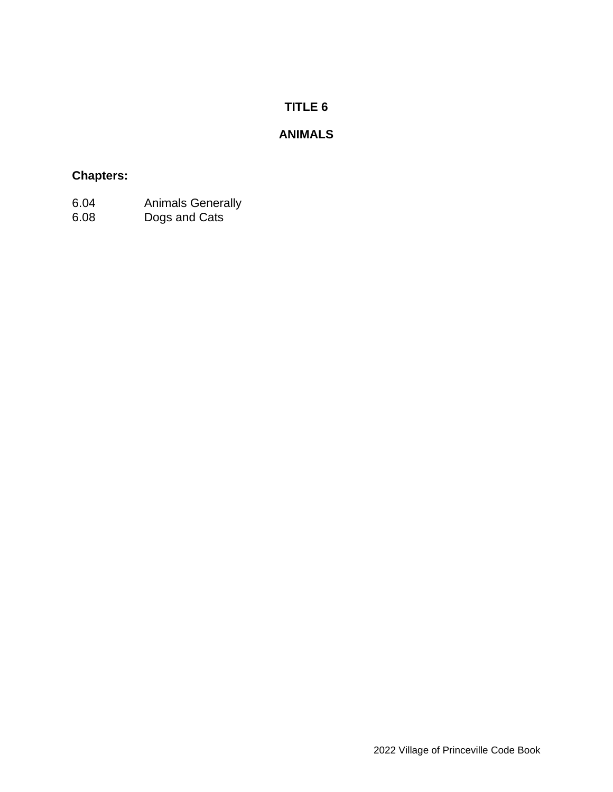# **TITLE 6**

# **ANIMALS**

## **Chapters:**

- 6.04 Animals Generally
- 6.08 Dogs and Cats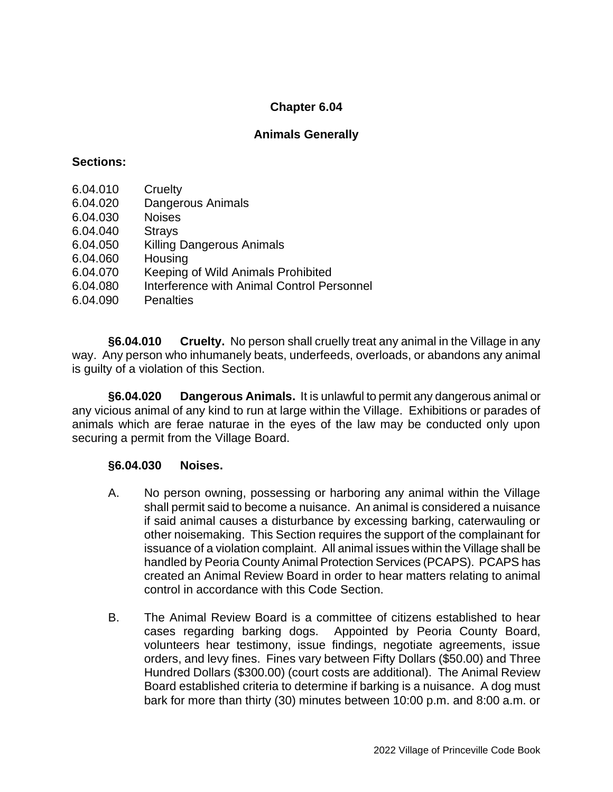### **Chapter 6.04**

### **Animals Generally**

#### **Sections:**

- 6.04.010 Cruelty
- 6.04.020 Dangerous Animals
- 6.04.030 Noises
- 6.04.040 Strays
- 6.04.050 Killing Dangerous Animals
- 6.04.060 Housing
- 6.04.070 Keeping of Wild Animals Prohibited
- 6.04.080 Interference with Animal Control Personnel
- 6.04.090 Penalties

**§6.04.010 Cruelty.** No person shall cruelly treat any animal in the Village in any way. Any person who inhumanely beats, underfeeds, overloads, or abandons any animal is guilty of a violation of this Section.

**§6.04.020 Dangerous Animals.** It is unlawful to permit any dangerous animal or any vicious animal of any kind to run at large within the Village. Exhibitions or parades of animals which are ferae naturae in the eyes of the law may be conducted only upon securing a permit from the Village Board.

#### **§6.04.030 Noises.**

- A. No person owning, possessing or harboring any animal within the Village shall permit said to become a nuisance. An animal is considered a nuisance if said animal causes a disturbance by excessing barking, caterwauling or other noisemaking. This Section requires the support of the complainant for issuance of a violation complaint. All animal issues within the Village shall be handled by Peoria County Animal Protection Services (PCAPS). PCAPS has created an Animal Review Board in order to hear matters relating to animal control in accordance with this Code Section.
- B. The Animal Review Board is a committee of citizens established to hear cases regarding barking dogs. Appointed by Peoria County Board, volunteers hear testimony, issue findings, negotiate agreements, issue orders, and levy fines. Fines vary between Fifty Dollars (\$50.00) and Three Hundred Dollars (\$300.00) (court costs are additional). The Animal Review Board established criteria to determine if barking is a nuisance. A dog must bark for more than thirty (30) minutes between 10:00 p.m. and 8:00 a.m. or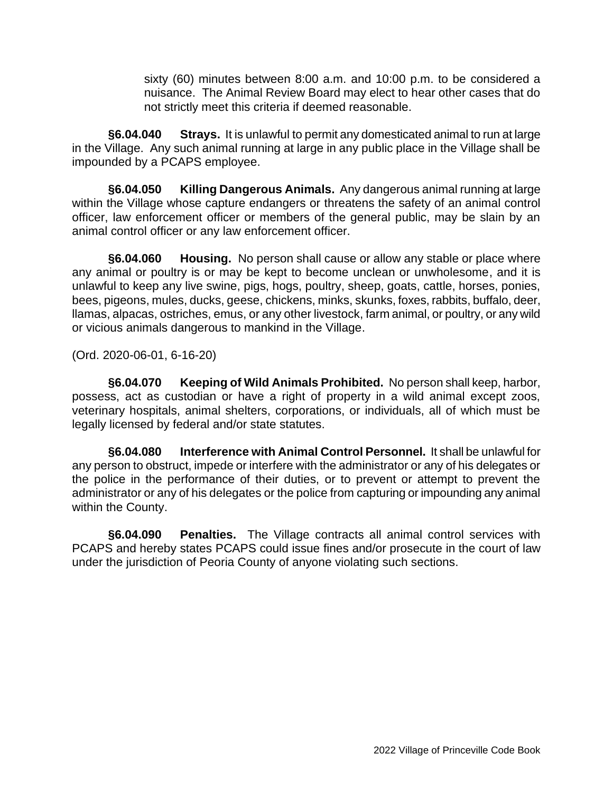sixty (60) minutes between 8:00 a.m. and 10:00 p.m. to be considered a nuisance. The Animal Review Board may elect to hear other cases that do not strictly meet this criteria if deemed reasonable.

**§6.04.040 Strays.** It is unlawful to permit any domesticated animal to run at large in the Village. Any such animal running at large in any public place in the Village shall be impounded by a PCAPS employee.

**§6.04.050 Killing Dangerous Animals.** Any dangerous animal running at large within the Village whose capture endangers or threatens the safety of an animal control officer, law enforcement officer or members of the general public, may be slain by an animal control officer or any law enforcement officer.

**§6.04.060 Housing.** No person shall cause or allow any stable or place where any animal or poultry is or may be kept to become unclean or unwholesome, and it is unlawful to keep any live swine, pigs, hogs, poultry, sheep, goats, cattle, horses, ponies, bees, pigeons, mules, ducks, geese, chickens, minks, skunks, foxes, rabbits, buffalo, deer, llamas, alpacas, ostriches, emus, or any other livestock, farm animal, or poultry, or any wild or vicious animals dangerous to mankind in the Village.

(Ord. 2020-06-01, 6-16-20)

**§6.04.070 Keeping of Wild Animals Prohibited.** No person shall keep, harbor, possess, act as custodian or have a right of property in a wild animal except zoos, veterinary hospitals, animal shelters, corporations, or individuals, all of which must be legally licensed by federal and/or state statutes.

**§6.04.080 Interference with Animal Control Personnel.** It shall be unlawful for any person to obstruct, impede or interfere with the administrator or any of his delegates or the police in the performance of their duties, or to prevent or attempt to prevent the administrator or any of his delegates or the police from capturing or impounding any animal within the County.

**§6.04.090 Penalties.** The Village contracts all animal control services with PCAPS and hereby states PCAPS could issue fines and/or prosecute in the court of law under the jurisdiction of Peoria County of anyone violating such sections.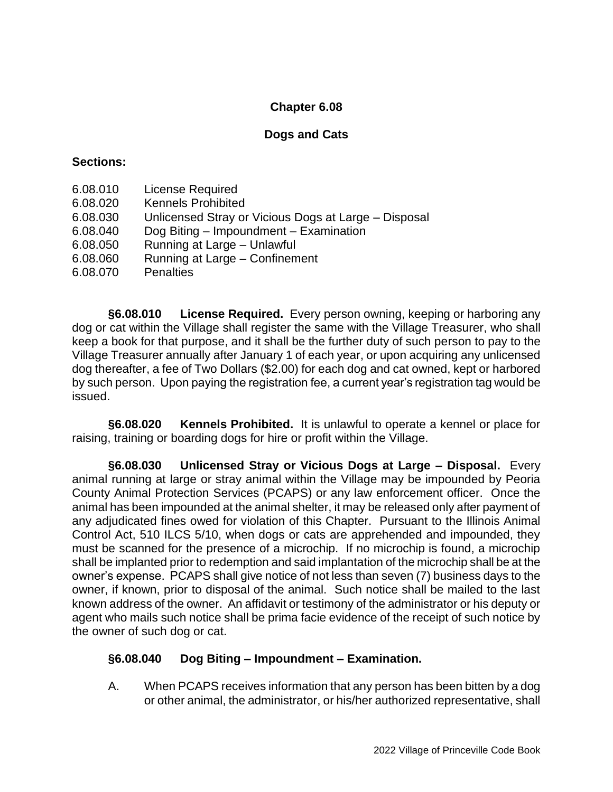## **Chapter 6.08**

### **Dogs and Cats**

### **Sections:**

- 6.08.010 License Required
- 6.08.020 Kennels Prohibited
- 6.08.030 Unlicensed Stray or Vicious Dogs at Large Disposal
- 6.08.040 Dog Biting Impoundment Examination
- 6.08.050 Running at Large Unlawful
- 6.08.060 Running at Large Confinement
- 6.08.070 Penalties

**§6.08.010 License Required.** Every person owning, keeping or harboring any dog or cat within the Village shall register the same with the Village Treasurer, who shall keep a book for that purpose, and it shall be the further duty of such person to pay to the Village Treasurer annually after January 1 of each year, or upon acquiring any unlicensed dog thereafter, a fee of Two Dollars (\$2.00) for each dog and cat owned, kept or harbored by such person. Upon paying the registration fee, a current year's registration tag would be issued.

**§6.08.020 Kennels Prohibited.** It is unlawful to operate a kennel or place for raising, training or boarding dogs for hire or profit within the Village.

**§6.08.030 Unlicensed Stray or Vicious Dogs at Large – Disposal.** Every animal running at large or stray animal within the Village may be impounded by Peoria County Animal Protection Services (PCAPS) or any law enforcement officer. Once the animal has been impounded at the animal shelter, it may be released only after payment of any adjudicated fines owed for violation of this Chapter. Pursuant to the Illinois Animal Control Act, 510 ILCS 5/10, when dogs or cats are apprehended and impounded, they must be scanned for the presence of a microchip. If no microchip is found, a microchip shall be implanted prior to redemption and said implantation of the microchip shall be at the owner's expense. PCAPS shall give notice of not less than seven (7) business days to the owner, if known, prior to disposal of the animal. Such notice shall be mailed to the last known address of the owner. An affidavit or testimony of the administrator or his deputy or agent who mails such notice shall be prima facie evidence of the receipt of such notice by the owner of such dog or cat.

### **§6.08.040 Dog Biting – Impoundment – Examination.**

A. When PCAPS receives information that any person has been bitten by a dog or other animal, the administrator, or his/her authorized representative, shall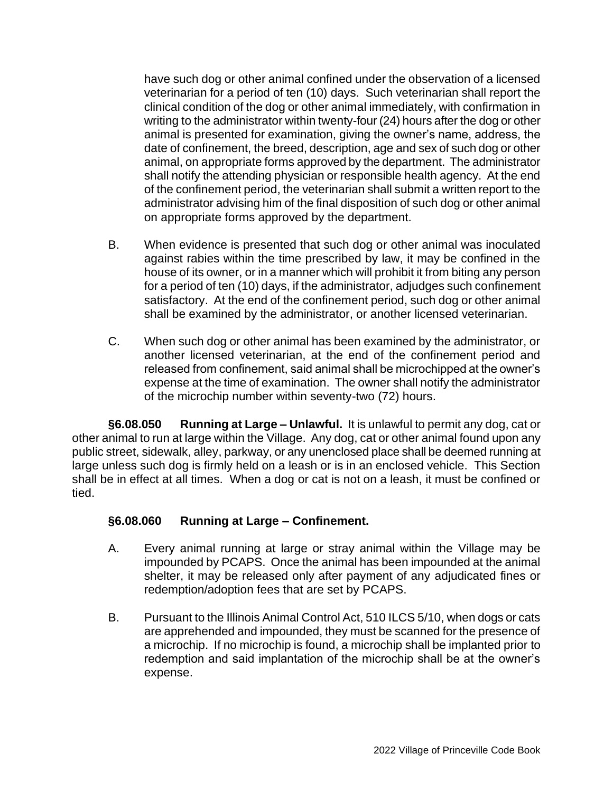have such dog or other animal confined under the observation of a licensed veterinarian for a period of ten (10) days. Such veterinarian shall report the clinical condition of the dog or other animal immediately, with confirmation in writing to the administrator within twenty-four (24) hours after the dog or other animal is presented for examination, giving the owner's name, address, the date of confinement, the breed, description, age and sex of such dog or other animal, on appropriate forms approved by the department. The administrator shall notify the attending physician or responsible health agency. At the end of the confinement period, the veterinarian shall submit a written report to the administrator advising him of the final disposition of such dog or other animal on appropriate forms approved by the department.

- B. When evidence is presented that such dog or other animal was inoculated against rabies within the time prescribed by law, it may be confined in the house of its owner, or in a manner which will prohibit it from biting any person for a period of ten (10) days, if the administrator, adjudges such confinement satisfactory. At the end of the confinement period, such dog or other animal shall be examined by the administrator, or another licensed veterinarian.
- C. When such dog or other animal has been examined by the administrator, or another licensed veterinarian, at the end of the confinement period and released from confinement, said animal shall be microchipped at the owner's expense at the time of examination. The owner shall notify the administrator of the microchip number within seventy-two (72) hours.

**§6.08.050 Running at Large – Unlawful.** It is unlawful to permit any dog, cat or other animal to run at large within the Village. Any dog, cat or other animal found upon any public street, sidewalk, alley, parkway, or any unenclosed place shall be deemed running at large unless such dog is firmly held on a leash or is in an enclosed vehicle. This Section shall be in effect at all times. When a dog or cat is not on a leash, it must be confined or tied.

#### **§6.08.060 Running at Large – Confinement.**

- A. Every animal running at large or stray animal within the Village may be impounded by PCAPS. Once the animal has been impounded at the animal shelter, it may be released only after payment of any adjudicated fines or redemption/adoption fees that are set by PCAPS.
- B. Pursuant to the Illinois Animal Control Act, 510 ILCS 5/10, when dogs or cats are apprehended and impounded, they must be scanned for the presence of a microchip. If no microchip is found, a microchip shall be implanted prior to redemption and said implantation of the microchip shall be at the owner's expense.